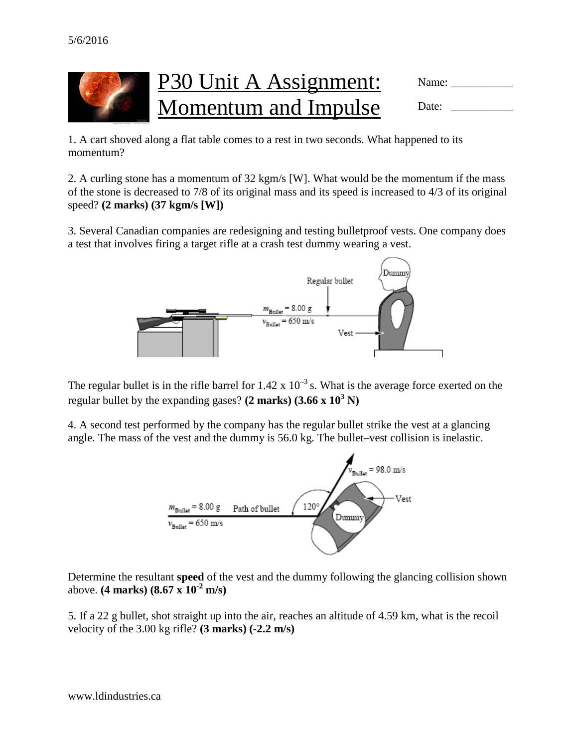

1. A cart shoved along a flat table comes to a rest in two seconds. What happened to its momentum?

2. A curling stone has a momentum of 32 kgm/s [W]. What would be the momentum if the mass of the stone is decreased to 7/8 of its original mass and its speed is increased to 4/3 of its original speed? **(2 marks) (37 kgm/s [W])**

3. Several Canadian companies are redesigning and testing bulletproof vests. One company does a test that involves firing a target rifle at a crash test dummy wearing a vest.



The regular bullet is in the rifle barrel for  $1.42 \times 10^{-3}$  s. What is the average force exerted on the regular bullet by the expanding gases?  $(2 \text{ marks})$   $(3.66 \times 10^3 \text{ N})$ 

4. A second test performed by the company has the regular bullet strike the vest at a glancing angle. The mass of the vest and the dummy is 56.0 kg. The bullet–vest collision is inelastic.



Determine the resultant **speed** of the vest and the dummy following the glancing collision shown above. **(4 marks) (8.67 x 10-2 m/s)**

5. If a 22 g bullet, shot straight up into the air, reaches an altitude of 4.59 km, what is the recoil velocity of the 3.00 kg rifle? **(3 marks) (-2.2 m/s)**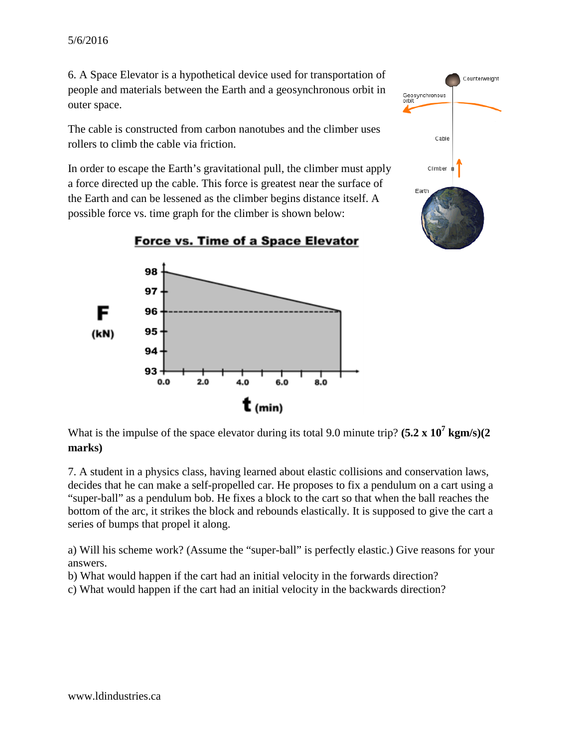6. A Space Elevator is a hypothetical device used for transportation of people and materials between the Earth and a geosynchronous orbit in outer space.

The cable is constructed from carbon nanotubes and the climber uses rollers to climb the cable via friction.

In order to escape the Earth's gravitational pull, the climber must apply a force directed up the cable. This force is greatest near the surface of the Earth and can be lessened as the climber begins distance itself. A possible force vs. time graph for the climber is shown below:





What is the impulse of the space elevator during its total 9.0 minute trip? **(5.2 x 10<sup>7</sup> kgm/s)**(2 **marks)**

7. A student in a physics class, having learned about elastic collisions and conservation laws, decides that he can make a self-propelled car. He proposes to fix a pendulum on a cart using a "super-ball" as a pendulum bob. He fixes a block to the cart so that when the ball reaches the bottom of the arc, it strikes the block and rebounds elastically. It is supposed to give the cart a series of bumps that propel it along.

a) Will his scheme work? (Assume the "super-ball" is perfectly elastic.) Give reasons for your answers.

b) What would happen if the cart had an initial velocity in the forwards direction?

c) What would happen if the cart had an initial velocity in the backwards direction?